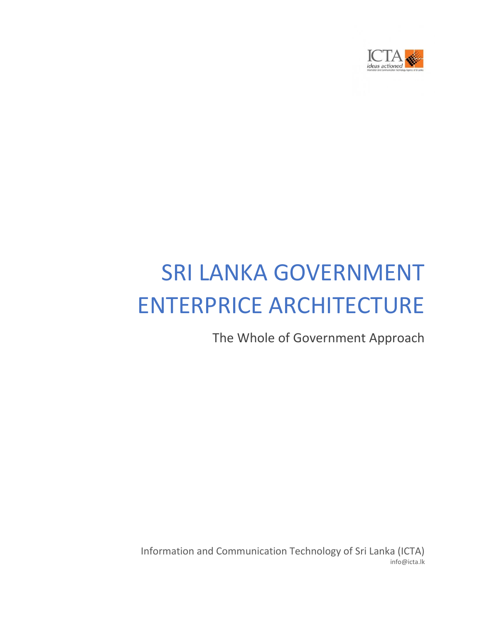

# SRI LANKA GOVERNMENT ENTERPRICE ARCHITECTURE

The Whole of Government Approach

Information and Communication Technology of Sri Lanka (ICTA) info@icta.lk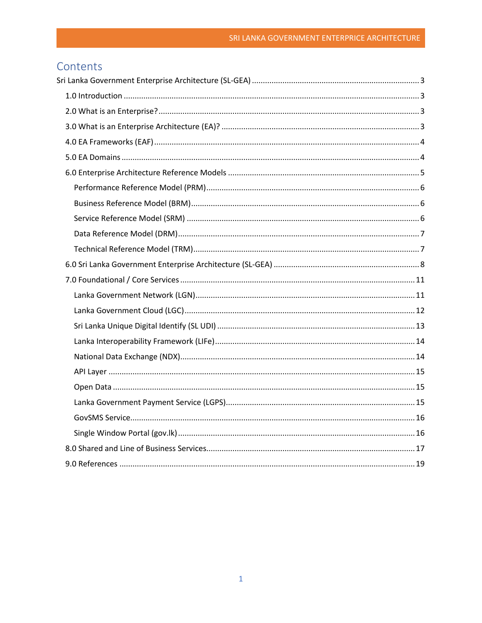# Contents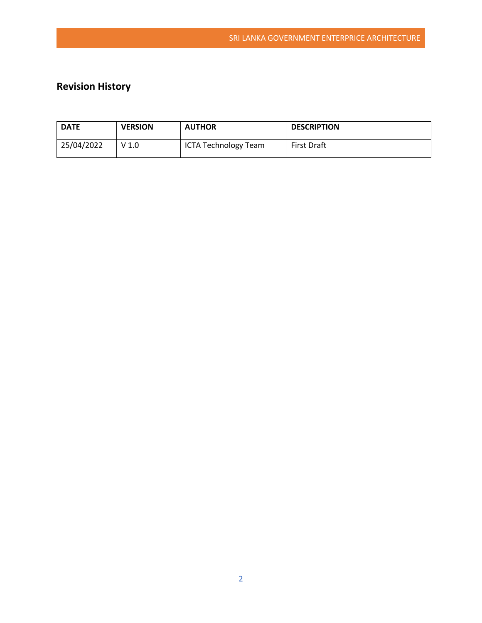# **Revision History**

| <b>DATE</b> | <b>VERSION</b>   | <b>AUTHOR</b>               | <b>DESCRIPTION</b> |
|-------------|------------------|-----------------------------|--------------------|
| 25/04/2022  | V <sub>1.0</sub> | <b>ICTA Technology Team</b> | <b>First Draft</b> |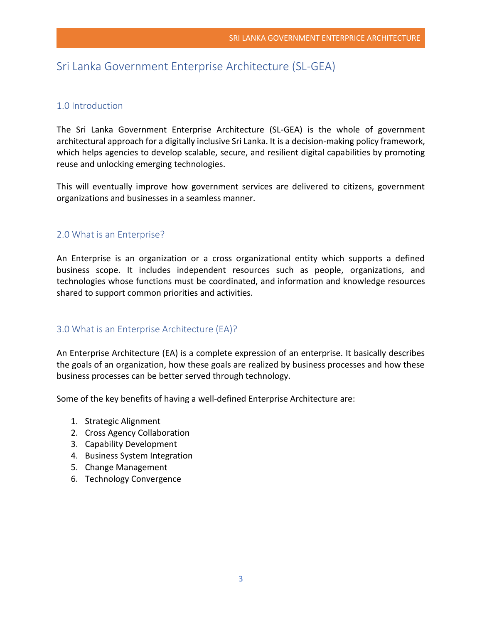# <span id="page-3-0"></span>Sri Lanka Government Enterprise Architecture (SL-GEA)

# <span id="page-3-1"></span>1.0 Introduction

The Sri Lanka Government Enterprise Architecture (SL-GEA) is the whole of government architectural approach for a digitally inclusive Sri Lanka. It is a decision-making policy framework, which helps agencies to develop scalable, secure, and resilient digital capabilities by promoting reuse and unlocking emerging technologies.

This will eventually improve how government services are delivered to citizens, government organizations and businesses in a seamless manner.

# <span id="page-3-2"></span>2.0 What is an Enterprise?

An Enterprise is an organization or a cross organizational entity which supports a defined business scope. It includes independent resources such as people, organizations, and technologies whose functions must be coordinated, and information and knowledge resources shared to support common priorities and activities.

# <span id="page-3-3"></span>3.0 What is an Enterprise Architecture (EA)?

An Enterprise Architecture (EA) is a complete expression of an enterprise. It basically describes the goals of an organization, how these goals are realized by business processes and how these business processes can be better served through technology.

Some of the key benefits of having a well-defined Enterprise Architecture are:

- 1. Strategic Alignment
- 2. Cross Agency Collaboration
- 3. Capability Development
- 4. Business System Integration
- 5. Change Management
- 6. Technology Convergence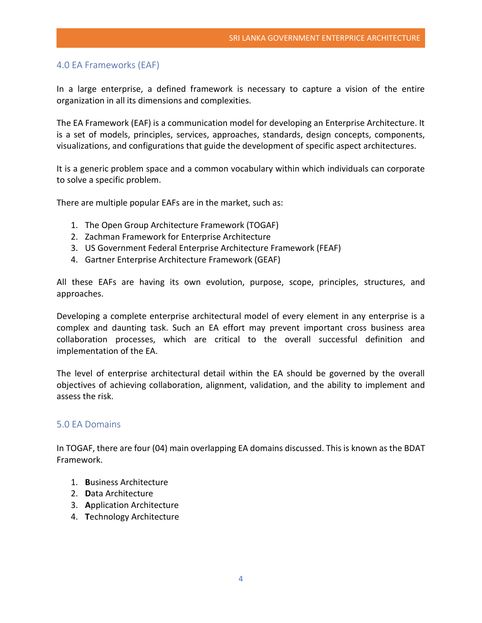# <span id="page-4-0"></span>4.0 EA Frameworks (EAF)

In a large enterprise, a defined framework is necessary to capture a vision of the entire organization in all its dimensions and complexities.

The EA Framework (EAF) is a communication model for developing an Enterprise Architecture. It is a set of models, principles, services, approaches, standards, design concepts, components, visualizations, and configurations that guide the development of specific aspect architectures.

It is a generic problem space and a common vocabulary within which individuals can corporate to solve a specific problem.

There are multiple popular EAFs are in the market, such as:

- 1. The Open Group Architecture Framework (TOGAF)
- 2. Zachman Framework for Enterprise Architecture
- 3. US Government Federal Enterprise Architecture Framework (FEAF)
- 4. Gartner Enterprise Architecture Framework (GEAF)

All these EAFs are having its own evolution, purpose, scope, principles, structures, and approaches.

Developing a complete enterprise architectural model of every element in any enterprise is a complex and daunting task. Such an EA effort may prevent important cross business area collaboration processes, which are critical to the overall successful definition and implementation of the EA.

The level of enterprise architectural detail within the EA should be governed by the overall objectives of achieving collaboration, alignment, validation, and the ability to implement and assess the risk.

# <span id="page-4-1"></span>5.0 EA Domains

In TOGAF, there are four (04) main overlapping EA domains discussed. This is known as the BDAT Framework.

- 1. **B**usiness Architecture
- 2. **D**ata Architecture
- 3. **A**pplication Architecture
- 4. **T**echnology Architecture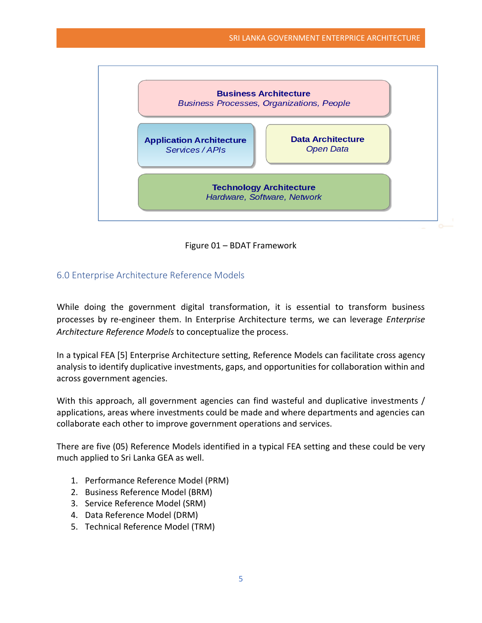

Figure 01 – BDAT Framework

# <span id="page-5-0"></span>6.0 Enterprise Architecture Reference Models

While doing the government digital transformation, it is essential to transform business processes by re-engineer them. In Enterprise Architecture terms, we can leverage *Enterprise Architecture Reference Models* to conceptualize the process.

In a typical FEA [5] Enterprise Architecture setting, Reference Models can facilitate cross agency analysis to identify duplicative investments, gaps, and opportunities for collaboration within and across government agencies.

With this approach, all government agencies can find wasteful and duplicative investments / applications, areas where investments could be made and where departments and agencies can collaborate each other to improve government operations and services.

There are five (05) Reference Models identified in a typical FEA setting and these could be very much applied to Sri Lanka GEA as well.

- 1. Performance Reference Model (PRM)
- 2. Business Reference Model (BRM)
- 3. Service Reference Model (SRM)
- 4. Data Reference Model (DRM)
- 5. Technical Reference Model (TRM)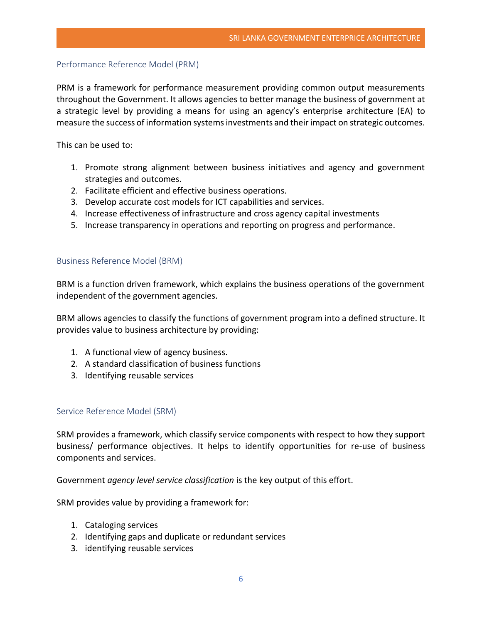#### <span id="page-6-0"></span>Performance Reference Model (PRM)

PRM is a framework for performance measurement providing common output measurements throughout the Government. It allows agencies to better manage the business of government at a strategic level by providing a means for using an agency's enterprise architecture (EA) to measure the success of information systems investments and their impact on strategic outcomes.

This can be used to:

- 1. Promote strong alignment between business initiatives and agency and government strategies and outcomes.
- 2. Facilitate efficient and effective business operations.
- 3. Develop accurate cost models for ICT capabilities and services.
- 4. Increase effectiveness of infrastructure and cross agency capital investments
- 5. Increase transparency in operations and reporting on progress and performance.

#### <span id="page-6-1"></span>Business Reference Model (BRM)

BRM is a function driven framework, which explains the business operations of the government independent of the government agencies.

BRM allows agencies to classify the functions of government program into a defined structure. It provides value to business architecture by providing:

- 1. A functional view of agency business.
- 2. A standard classification of business functions
- 3. Identifying reusable services

# <span id="page-6-2"></span>Service Reference Model (SRM)

SRM provides a framework, which classify service components with respect to how they support business/ performance objectives. It helps to identify opportunities for re-use of business components and services.

Government *agency level service classification* is the key output of this effort.

SRM provides value by providing a framework for:

- 1. Cataloging services
- 2. Identifying gaps and duplicate or redundant services
- 3. identifying reusable services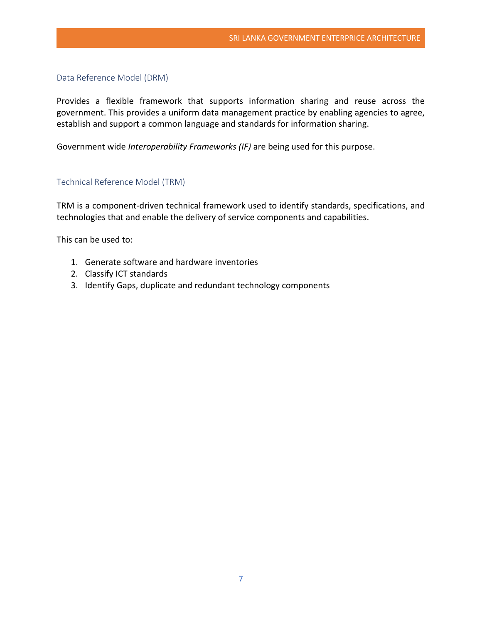#### <span id="page-7-0"></span>Data Reference Model (DRM)

Provides a flexible framework that supports information sharing and reuse across the government. This provides a uniform data management practice by enabling agencies to agree, establish and support a common language and standards for information sharing.

Government wide *Interoperability Frameworks (IF)* are being used for this purpose.

#### <span id="page-7-1"></span>Technical Reference Model (TRM)

TRM is a component-driven technical framework used to identify standards, specifications, and technologies that and enable the delivery of service components and capabilities.

This can be used to:

- 1. Generate software and hardware inventories
- 2. Classify ICT standards
- 3. Identify Gaps, duplicate and redundant technology components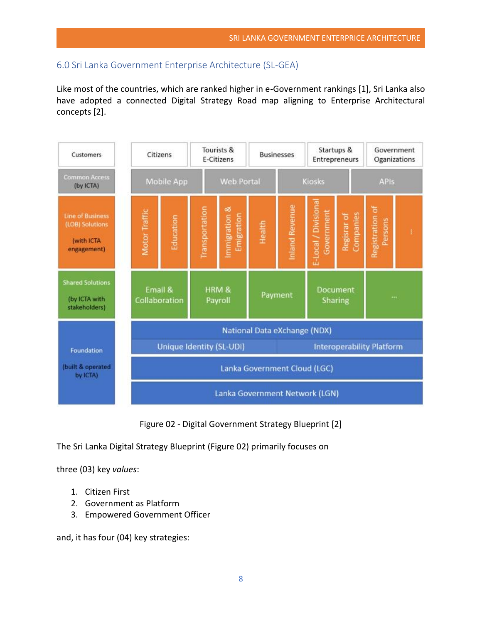# <span id="page-8-0"></span>6.0 Sri Lanka Government Enterprise Architecture (SL-GEA)

Like most of the countries, which are ranked higher in e-Government rankings [1], Sri Lanka also have adopted a connected Digital Strategy Road map aligning to Enterprise Architectural concepts [2].



Figure 02 - Digital Government Strategy Blueprint [2]

The Sri Lanka Digital Strategy Blueprint (Figure 02) primarily focuses on

three (03) key *values*:

- 1. Citizen First
- 2. Government as Platform
- 3. Empowered Government Officer

and, it has four (04) key strategies: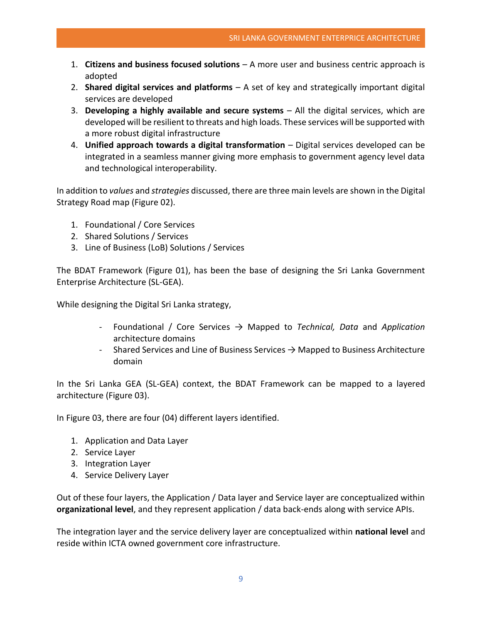- 1. **Citizens and business focused solutions** A more user and business centric approach is adopted
- 2. **Shared digital services and platforms** A set of key and strategically important digital services are developed
- 3. **Developing a highly available and secure systems** All the digital services, which are developed will be resilient to threats and high loads. These services will be supported with a more robust digital infrastructure
- 4. **Unified approach towards a digital transformation** Digital services developed can be integrated in a seamless manner giving more emphasis to government agency level data and technological interoperability.

In addition to *values* and *strategies* discussed, there are three main levels are shown in the Digital Strategy Road map (Figure 02).

- 1. Foundational / Core Services
- 2. Shared Solutions / Services
- 3. Line of Business (LoB) Solutions / Services

The BDAT Framework (Figure 01), has been the base of designing the Sri Lanka Government Enterprise Architecture (SL-GEA).

While designing the Digital Sri Lanka strategy,

- Foundational / Core Services → Mapped to *Technical, Data* and *Application*  architecture domains
- Shared Services and Line of Business Services  $\rightarrow$  Mapped to Business Architecture domain

In the Sri Lanka GEA (SL-GEA) context, the BDAT Framework can be mapped to a layered architecture (Figure 03).

In Figure 03, there are four (04) different layers identified.

- 1. Application and Data Layer
- 2. Service Layer
- 3. Integration Layer
- 4. Service Delivery Layer

Out of these four layers, the Application / Data layer and Service layer are conceptualized within **organizational level**, and they represent application / data back-ends along with service APIs.

The integration layer and the service delivery layer are conceptualized within **national level** and reside within ICTA owned government core infrastructure.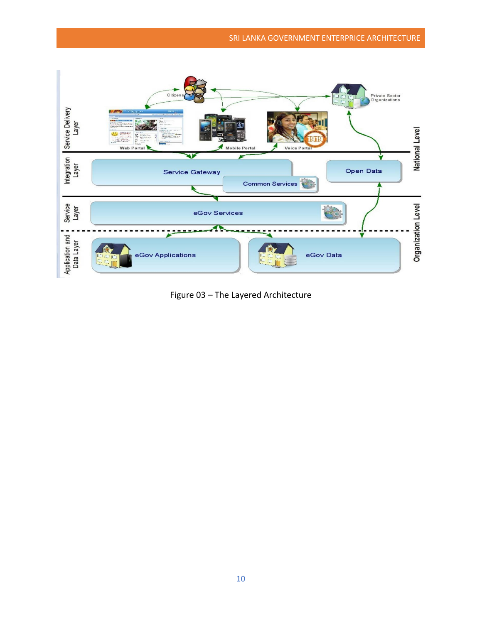

Figure 03 – The Layered Architecture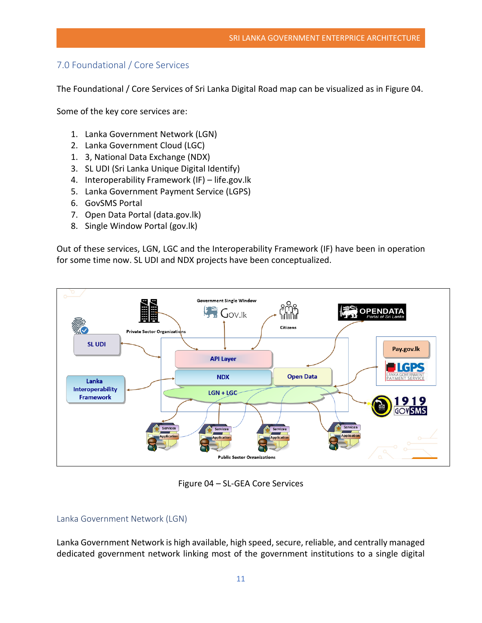# <span id="page-11-0"></span>7.0 Foundational / Core Services

The Foundational / Core Services of Sri Lanka Digital Road map can be visualized as in Figure 04.

Some of the key core services are:

- 1. Lanka Government Network (LGN)
- 2. Lanka Government Cloud (LGC)
- 1. 3, National Data Exchange (NDX)
- 3. SL UDI (Sri Lanka Unique Digital Identify)
- 4. Interoperability Framework (IF) life.gov.lk
- 5. Lanka Government Payment Service (LGPS)
- 6. GovSMS Portal
- 7. Open Data Portal (data.gov.lk)
- 8. Single Window Portal (gov.lk)

Out of these services, LGN, LGC and the Interoperability Framework (IF) have been in operation for some time now. SL UDI and NDX projects have been conceptualized.



Figure 04 – SL-GEA Core Services

#### <span id="page-11-1"></span>Lanka Government Network (LGN)

Lanka Government Network is high available, high speed, secure, reliable, and centrally managed dedicated government network linking most of the government institutions to a single digital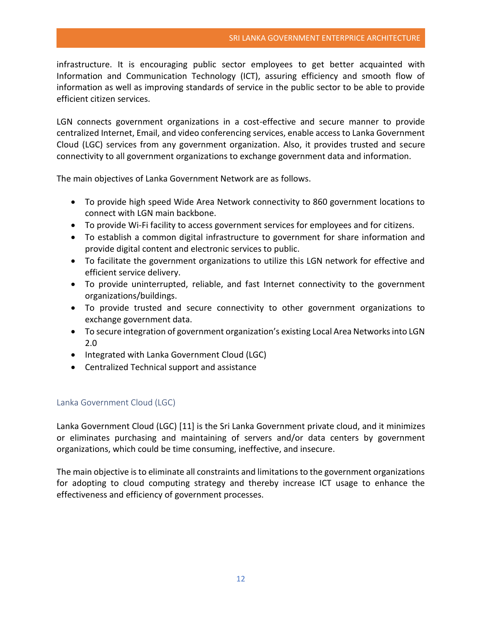infrastructure. It is encouraging public sector employees to get better acquainted with Information and Communication Technology (ICT), assuring efficiency and smooth flow of information as well as improving standards of service in the public sector to be able to provide efficient citizen services.

LGN connects government organizations in a cost-effective and secure manner to provide centralized Internet, Email, and video conferencing services, enable access to Lanka Government Cloud (LGC) services from any government organization. Also, it provides trusted and secure connectivity to all government organizations to exchange government data and information.

The main objectives of Lanka Government Network are as follows.

- To provide high speed Wide Area Network connectivity to 860 government locations to connect with LGN main backbone.
- To provide Wi-Fi facility to access government services for employees and for citizens.
- To establish a common digital infrastructure to government for share information and provide digital content and electronic services to public.
- To facilitate the government organizations to utilize this LGN network for effective and efficient service delivery.
- To provide uninterrupted, reliable, and fast Internet connectivity to the government organizations/buildings.
- To provide trusted and secure connectivity to other government organizations to exchange government data.
- To secure integration of government organization's existing Local Area Networks into LGN 2.0
- Integrated with Lanka Government Cloud (LGC)
- Centralized Technical support and assistance

# <span id="page-12-0"></span>Lanka Government Cloud (LGC)

Lanka Government Cloud (LGC) [11] is the Sri Lanka Government private cloud, and it minimizes or eliminates purchasing and maintaining of servers and/or data centers by government organizations, which could be time consuming, ineffective, and insecure.

The main objective is to eliminate all constraints and limitations to the government organizations for adopting to cloud computing strategy and thereby increase ICT usage to enhance the effectiveness and efficiency of government processes.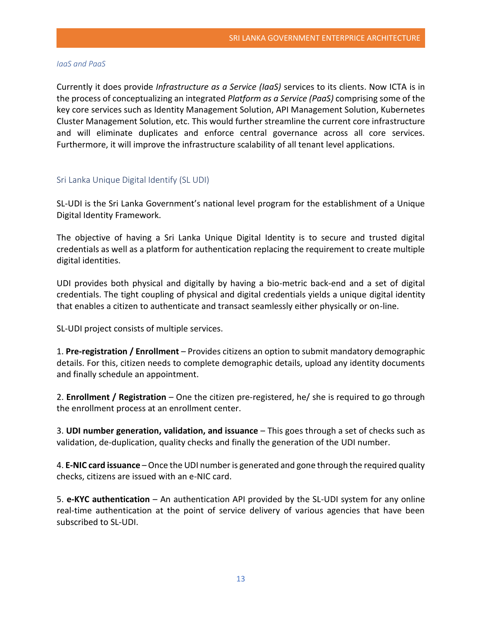#### *IaaS and PaaS*

Currently it does provide *Infrastructure as a Service (IaaS)* services to its clients. Now ICTA is in the process of conceptualizing an integrated *Platform as a Service (PaaS)* comprising some of the key core services such as Identity Management Solution, API Management Solution, Kubernetes Cluster Management Solution, etc. This would further streamline the current core infrastructure and will eliminate duplicates and enforce central governance across all core services. Furthermore, it will improve the infrastructure scalability of all tenant level applications.

#### <span id="page-13-0"></span>Sri Lanka Unique Digital Identify (SL UDI)

SL-UDI is the Sri Lanka Government's national level program for the establishment of a Unique Digital Identity Framework.

The objective of having a Sri Lanka Unique Digital Identity is to secure and trusted digital credentials as well as a platform for authentication replacing the requirement to create multiple digital identities.

UDI provides both physical and digitally by having a bio-metric back-end and a set of digital credentials. The tight coupling of physical and digital credentials yields a unique digital identity that enables a citizen to authenticate and transact seamlessly either physically or on-line.

SL-UDI project consists of multiple services.

1. **Pre-registration / Enrollment** – Provides citizens an option to submit mandatory demographic details. For this, citizen needs to complete demographic details, upload any identity documents and finally schedule an appointment.

2. **Enrollment / Registration** – One the citizen pre-registered, he/ she is required to go through the enrollment process at an enrollment center.

3. **UDI number generation, validation, and issuance** – This goes through a set of checks such as validation, de-duplication, quality checks and finally the generation of the UDI number.

4. **E-NIC card issuance** –Once the UDI number is generated and gone through the required quality checks, citizens are issued with an e-NIC card.

5. **e-KYC authentication** – An authentication API provided by the SL-UDI system for any online real-time authentication at the point of service delivery of various agencies that have been subscribed to SL-UDI.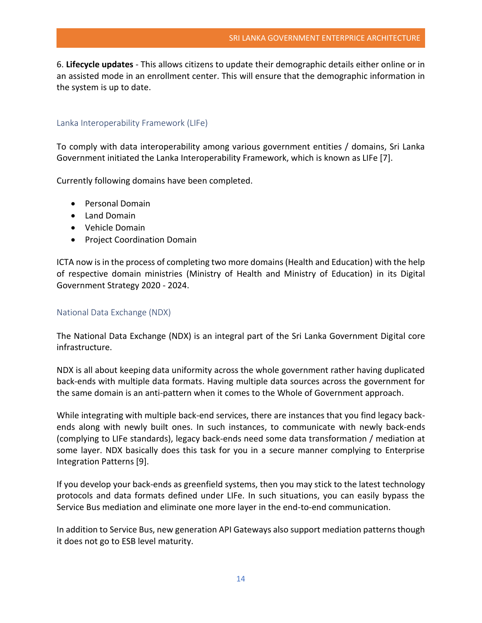6. **Lifecycle updates** - This allows citizens to update their demographic details either online or in an assisted mode in an enrollment center. This will ensure that the demographic information in the system is up to date.

#### <span id="page-14-0"></span>Lanka Interoperability Framework (LIFe)

To comply with data interoperability among various government entities / domains, Sri Lanka Government initiated the Lanka Interoperability Framework, which is known as LIFe [7].

Currently following domains have been completed.

- Personal Domain
- Land Domain
- Vehicle Domain
- Project Coordination Domain

ICTA now is in the process of completing two more domains (Health and Education) with the help of respective domain ministries (Ministry of Health and Ministry of Education) in its Digital Government Strategy 2020 - 2024.

#### <span id="page-14-1"></span>National Data Exchange (NDX)

The National Data Exchange (NDX) is an integral part of the Sri Lanka Government Digital core infrastructure.

NDX is all about keeping data uniformity across the whole government rather having duplicated back-ends with multiple data formats. Having multiple data sources across the government for the same domain is an anti-pattern when it comes to the Whole of Government approach.

While integrating with multiple back-end services, there are instances that you find legacy backends along with newly built ones. In such instances, to communicate with newly back-ends (complying to LIFe standards), legacy back-ends need some data transformation / mediation at some layer. NDX basically does this task for you in a secure manner complying to Enterprise Integration Patterns [9].

If you develop your back-ends as greenfield systems, then you may stick to the latest technology protocols and data formats defined under LIFe. In such situations, you can easily bypass the Service Bus mediation and eliminate one more layer in the end-to-end communication.

In addition to Service Bus, new generation API Gateways also support mediation patterns though it does not go to ESB level maturity.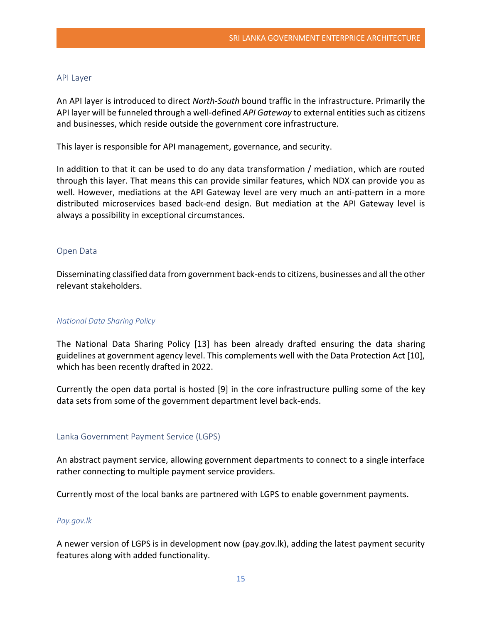#### <span id="page-15-0"></span>API Layer

An API layer is introduced to direct *North-South* bound traffic in the infrastructure. Primarily the API layer will be funneled through a well-defined *API Gateway* to external entities such as citizens and businesses, which reside outside the government core infrastructure.

This layer is responsible for API management, governance, and security.

In addition to that it can be used to do any data transformation / mediation, which are routed through this layer. That means this can provide similar features, which NDX can provide you as well. However, mediations at the API Gateway level are very much an anti-pattern in a more distributed microservices based back-end design. But mediation at the API Gateway level is always a possibility in exceptional circumstances.

#### <span id="page-15-1"></span>Open Data

Disseminating classified data from government back-ends to citizens, businesses and all the other relevant stakeholders.

#### *National Data Sharing Policy*

The National Data Sharing Policy [13] has been already drafted ensuring the data sharing guidelines at government agency level. This complements well with the Data Protection Act [10], which has been recently drafted in 2022.

Currently the open data portal is hosted [9] in the core infrastructure pulling some of the key data sets from some of the government department level back-ends.

#### <span id="page-15-2"></span>Lanka Government Payment Service (LGPS)

An abstract payment service, allowing government departments to connect to a single interface rather connecting to multiple payment service providers.

Currently most of the local banks are partnered with LGPS to enable government payments.

#### *Pay.gov.lk*

A newer version of LGPS is in development now (pay.gov.lk), adding the latest payment security features along with added functionality.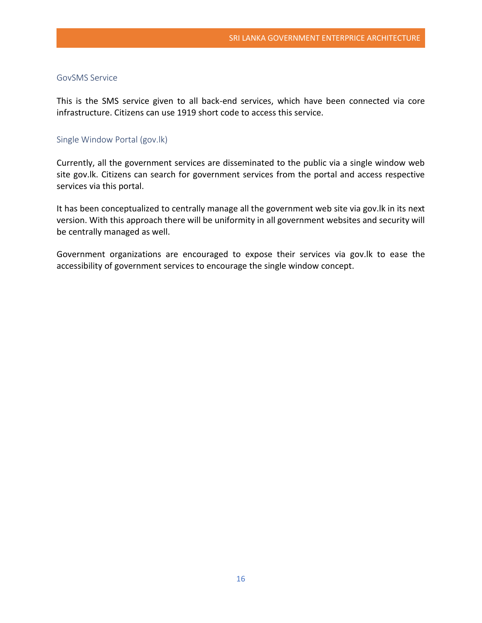#### <span id="page-16-0"></span>GovSMS Service

This is the SMS service given to all back-end services, which have been connected via core infrastructure. Citizens can use 1919 short code to access this service.

#### <span id="page-16-1"></span>Single Window Portal (gov.lk)

Currently, all the government services are disseminated to the public via a single window web site gov.lk. Citizens can search for government services from the portal and access respective services via this portal.

It has been conceptualized to centrally manage all the government web site via gov.lk in its next version. With this approach there will be uniformity in all government websites and security will be centrally managed as well.

Government organizations are encouraged to expose their services via gov.lk to ease the accessibility of government services to encourage the single window concept.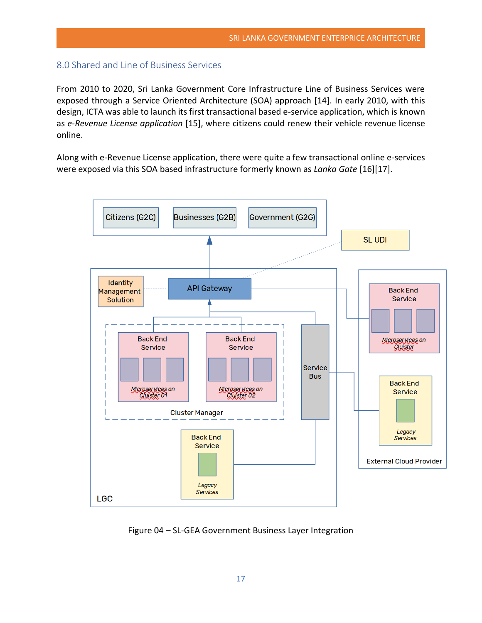# <span id="page-17-0"></span>8.0 Shared and Line of Business Services

From 2010 to 2020, Sri Lanka Government Core Infrastructure Line of Business Services were exposed through a Service Oriented Architecture (SOA) approach [14]. In early 2010, with this design, ICTA was able to launch its first transactional based e-service application, which is known as *e-Revenue License application* [15], where citizens could renew their vehicle revenue license online.

Along with e-Revenue License application, there were quite a few transactional online e-services were exposed via this SOA based infrastructure formerly known as *Lanka Gate* [16][17].



Figure 04 – SL-GEA Government Business Layer Integration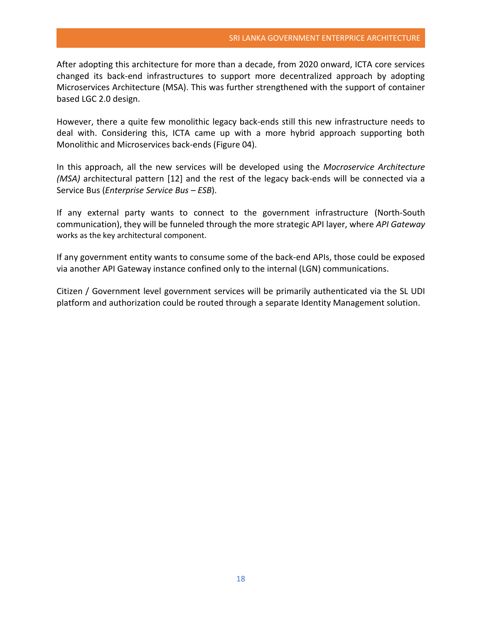After adopting this architecture for more than a decade, from 2020 onward, ICTA core services changed its back-end infrastructures to support more decentralized approach by adopting Microservices Architecture (MSA). This was further strengthened with the support of container based LGC 2.0 design.

However, there a quite few monolithic legacy back-ends still this new infrastructure needs to deal with. Considering this, ICTA came up with a more hybrid approach supporting both Monolithic and Microservices back-ends (Figure 04).

In this approach, all the new services will be developed using the *Mocroservice Architecture (MSA)* architectural pattern [12] and the rest of the legacy back-ends will be connected via a Service Bus (*Enterprise Service Bus – ESB*).

If any external party wants to connect to the government infrastructure (North-South communication), they will be funneled through the more strategic API layer, where *API Gateway* works as the key architectural component.

If any government entity wants to consume some of the back-end APIs, those could be exposed via another API Gateway instance confined only to the internal (LGN) communications.

Citizen / Government level government services will be primarily authenticated via the SL UDI platform and authorization could be routed through a separate Identity Management solution.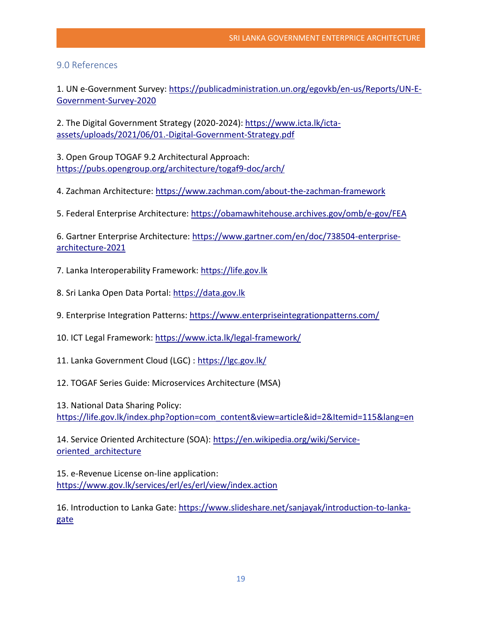# <span id="page-19-0"></span>9.0 References

1. UN e-Government Survey[: https://publicadministration.un.org/egovkb/en-us/Reports/UN-E-](httpss://publicadministration.un.org/egovkb/en-us/Reports/UN-E-Government-Survey-2020)[Government-Survey-2020](httpss://publicadministration.un.org/egovkb/en-us/Reports/UN-E-Government-Survey-2020)

2. The Digital Government Strategy (2020-2024)[: https://www.icta.lk/icta](httpss://www.icta.lk/icta-assets/uploads/2021/06/01.-Digital-Government-Strategy.pdf)[assets/uploads/2021/06/01.-Digital-Government-Strategy.pdf](httpss://www.icta.lk/icta-assets/uploads/2021/06/01.-Digital-Government-Strategy.pdf)

3. Open Group TOGAF 9.2 Architectural Approach: [https://pubs.opengroup.org/architecture/togaf9-doc/arch/](httpss://pubs.opengroup.org/architecture/togaf9-doc/arch/)

4. Zachman Architecture: [https://www.zachman.com/about-the-zachman-framework](httpss://www.zachman.com/about-the-zachman-framework)

5. Federal Enterprise Architecture[: https://obamawhitehouse.archives.gov/omb/e-gov/FEA](httpss://obamawhitehouse.archives.gov/omb/e-gov/FEA)

6. Gartner Enterprise Architecture: [https://www.gartner.com/en/doc/738504-enterprise](httpss://www.gartner.com/en/doc/738504-enterprise-architecture-2021)[architecture-2021](httpss://www.gartner.com/en/doc/738504-enterprise-architecture-2021)

7. Lanka Interoperability Framework: [https://life.gov.lk](httpss://life.gov.lk/)

- 8. Sri Lanka Open Data Portal: [https://data.gov.lk](httpss://data.gov.lk/)
- 9. Enterprise Integration Patterns: [https://www.enterpriseintegrationpatterns.com/](httpss://www.enterpriseintegrationpatterns.com/)
- 10. ICT Legal Framework: [https://www.icta.lk/legal-framework/](httpss://www.icta.lk/legal-framework/)
- 11. Lanka Government Cloud (LGC) : [https://lgc.gov.lk/](httpss://lgc.gov.lk/)
- 12. TOGAF Series Guide: Microservices Architecture (MSA)

13. National Data Sharing Policy:

[https://life.gov.lk/index.php?option=com\\_content&view=article&id=2&Itemid=115&lang=en](httpss://life.gov.lk/index.php?option=com_content&view=article&id=2&Itemid=115&lang=en)

14. Service Oriented Architecture (SOA): [https://en.wikipedia.org/wiki/Service](httpss://en.wikipedia.org/wiki/Service-oriented_architecture)[oriented\\_architecture](httpss://en.wikipedia.org/wiki/Service-oriented_architecture)

15. e-Revenue License on-line application: [https://www.gov.lk/services/erl/es/erl/view/index.action](httpss://www.gov.lk/services/erl/es/erl/view/index.action) 

16. Introduction to Lanka Gate: [https://www.slideshare.net/sanjayak/introduction-to-lanka](httpss://www.slideshare.net/sanjayak/introduction-to-lanka-gate)[gate](httpss://www.slideshare.net/sanjayak/introduction-to-lanka-gate)